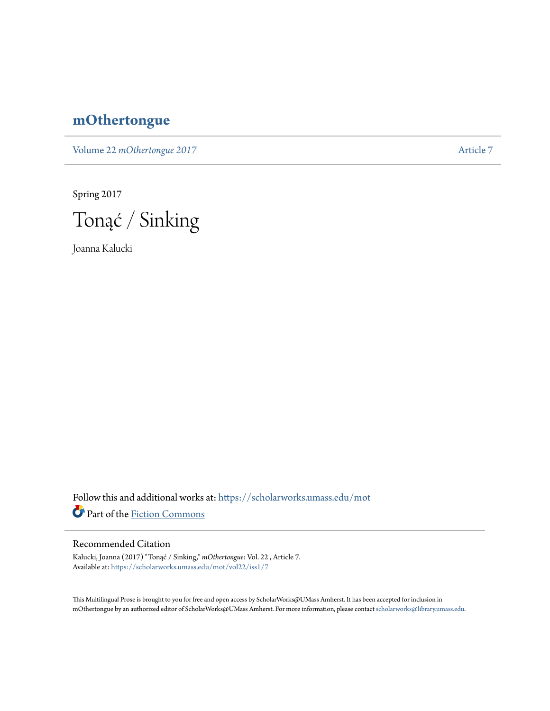## **[mOthertongue](https://scholarworks.umass.edu/mot?utm_source=scholarworks.umass.edu%2Fmot%2Fvol22%2Fiss1%2F7&utm_medium=PDF&utm_campaign=PDFCoverPages)**

Volume 22 *mOthertongue* 2017

Spring 2017



Joanna Kalucki

Follow this and additional works at: [https://scholarworks.umass.edu/mot](https://scholarworks.umass.edu/mot?utm_source=scholarworks.umass.edu%2Fmot%2Fvol22%2Fiss1%2F7&utm_medium=PDF&utm_campaign=PDFCoverPages) Part of the [Fiction Commons](http://network.bepress.com/hgg/discipline/1151?utm_source=scholarworks.umass.edu%2Fmot%2Fvol22%2Fiss1%2F7&utm_medium=PDF&utm_campaign=PDFCoverPages)

## Recommended Citation

Kalucki, Joanna (2017) "Tonąć / Sinking," *mOthertongue*: Vol. 22 , Article 7. Available at: [https://scholarworks.umass.edu/mot/vol22/iss1/7](https://scholarworks.umass.edu/mot/vol22/iss1/7?utm_source=scholarworks.umass.edu%2Fmot%2Fvol22%2Fiss1%2F7&utm_medium=PDF&utm_campaign=PDFCoverPages)

This Multilingual Prose is brought to you for free and open access by ScholarWorks@UMass Amherst. It has been accepted for inclusion in mOthertongue by an authorized editor of ScholarWorks@UMass Amherst. For more information, please contact [scholarworks@library.umass.edu](mailto:scholarworks@library.umass.edu).